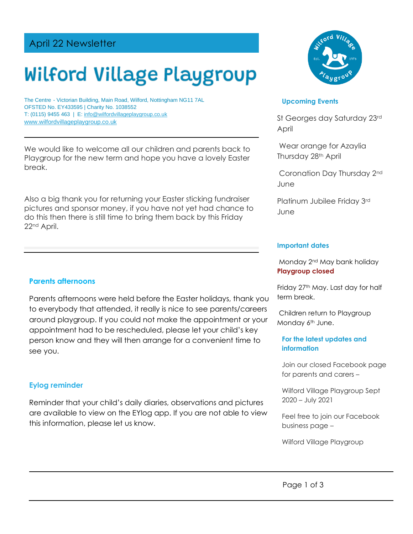# April 22 Newsletter

# Wilford Village Playgroup

The Centre - Victorian Building, Main Road, Wilford, Nottingham NG11 7AL OFSTED No. EY433595 | Charity No. 1038552 T: (0115) 9455 463 | E: [info@wilfordvillageplaygroup.co.uk](mailto:info@wilfordvillageplaygroup.co.uk) [www.wilfordvillageplaygroup.co.uk](http://www.wilfordvillageplaygroup.co.uk/)

We would like to welcome all our children and parents back to Playgroup for the new term and hope you have a lovely Easter break.

Also a big thank you for returning your Easter sticking fundraiser pictures and sponsor money, if you have not yet had chance to do this then there is still time to bring them back by this Friday 22nd April.

#### **Parents afternoons**

Parents afternoons were held before the Easter holidays, thank you to everybody that attended, it really is nice to see parents/careers around playgroup. If you could not make the appointment or your appointment had to be rescheduled, please let your child's key person know and they will then arrange for a convenient time to see you.

#### **Eylog reminder**

Reminder that your child's daily diaries, observations and pictures are available to view on the EYlog app. If you are not able to view this information, please let us know.



#### **Upcoming Events**

St Georges day Saturday 23rd April

Wear orange for Azaylia Thursday 28<sup>th</sup> April

Coronation Day Thursday 2nd June

Platinum Jubilee Friday 3rd June

#### **Important dates**

Monday 2nd May bank holiday **Playgroup closed**

Friday 27<sup>th</sup> May. Last day for half term break.

Children return to Playgroup Monday 6<sup>th</sup> June.

#### **For the latest updates and information**

Join our closed Facebook page for parents and carers –

Wilford Village Playgroup Sept 2020 – July 2021

Feel free to join our Facebook business page –

Wilford Village Playgroup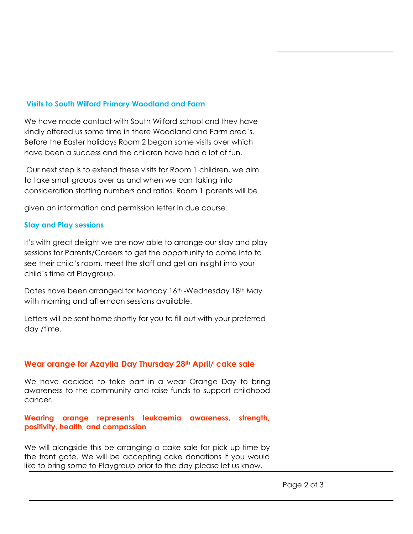## **Visits to South Wilford Primary Woodland and Farm**

We have made contact with South Wilford school and they have kindly offered us some time in there Woodland and Farm area's. Before the Easter holidays Room 2 began some visits over which have been a success and the children have had a lot of fun.

Our next step is to extend these visits for Room 1 children, we aim to take small groups over as and when we can taking into consideration staffing numbers and ratios. Room 1 parents will be

given an information and permission letter in due course.

### **Stay and Play sessions**

It's with great delight we are now able to arrange our stay and play sessions for Parents/Careers to get the opportunity to come into to see their child's room, meet the staff and get an insight into your child's time at Playgroup.

Dates have been arranged for Monday 16<sup>th</sup> -Wednesday 18<sup>th</sup> May with morning and afternoon sessions available.

Letters will be sent home shortly for you to fill out with your preferred day /time.

# **Wear orange for Azaylia Day Thursday 28th April/ cake sale**

We have decided to take part in a wear Orange Day to bring awareness to the community and raise funds to support childhood cancer.

**Wearing orange represents leukaemia awareness, strength, positivity, health, and compassion** 

We will alongside this be arranging a cake sale for pick up time by the front gate. We will be accepting cake donations if you would like to bring some to Playgroup prior to the day please let us know.